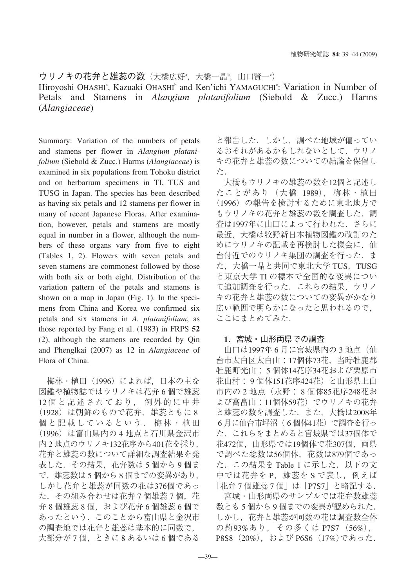ウリノキの花弁と雄蕊の数(大橋広好\*,大橋一晶\*,山口賢一\*)

Hiroyoshi OHASHI<sup>a</sup>, Kazuaki OHASHI<sup>b</sup> and Ken'ichi YAMAGUCHI<sup>c</sup>: Variation in Number of Petals and Stamens in *Alangium platanifolium* (Siebold & Zucc.) Harms (*Alangiaceae*)

Summary: Variation of the numbers of petals and stamens per flower in *Alangium platanifolium* (Siebold & Zucc.) Harms (*Alangiaceae*) is examined in six populations from Tohoku district and on herbarium specimens in TI, TUS and TUSG in Japan. The species has been described as having six petals and 12 stamens per flower in many of recent Japanese Floras. After examination, however, petals and stamens are mostly equal in number in a flower, although the numbers of these organs vary from five to eight (Tables 1, 2). Flowers with seven petals and seven stamens are commonest followed by those with both six or both eight. Distribution of the variation pattern of the petals and stamens is shown on a map in Japan (Fig. 1). In the specimens from China and Korea we confirmed six petals and six stamens in *A. platanifolium*, as those reported by Fang et al. (1983) in FRPS **52** (2), although the stamens are recorded by Qin and Phenglkai (2007) as 12 in *Alangiaceae* of Flora of China.

梅林・植田 (1996) によれば, 日本の主な 図鑑や植物誌ではウリノキは花弁 6 個で雄蕊 12 個と記述されており, 例外的に中井 (1928) は朝鮮のもので花弁, 雄蕊ともに 8 個と記載しているという. 梅林・植田 (1996) は富山県内の 4 地点と石川県金沢市 内 2 地点のウリノキ132花序から401花を採り, 花弁と雄蕊の数について詳細な調査結果を発 表した. その結果, 花弁数は 5 個から 9 個ま で, 雄蕊数は 5 個から 8 個までの変異があり, しかし花弁と雄蕊が同数の花は376個であっ た. その組み合わせは花弁 7 個雄蕊 7 個, 花 弁 8 個雄蕊 8 個, および花弁 6 個雄蕊 6 個で あったという. このことから富山県と金沢市 の調査地では花弁と雄蕊は基本的に同数で, 大部分が 7 個, ときに 8 あるいは 6 個である

と報告した. しかし, 調べた地域が偏ってい るおそれがあるかもしれないとして, ウリノ キの花弁と雄蕊の数についての結論を保留し た.

大橋もウリノキの雄蕊の数を12個と記述し たことがあり (大橋 1989), 梅林・植田 (1996) の報告を検討するために東北地方で もウリノキの花弁と雄蕊の数を調査した. 調 査は1997年に山口によって行われた. さらに 最近, 大橋は牧野新日本植物図鑑の改訂のた めにウリノキの記載を再検討した機会に, 仙 台付近でのウリノキ集団の調査を行った. ま た, 大橋一晶と共同で東北大学 TUS, TUSG と東京大学 TI の標本で全国的な変異につい て追加調査を行った. これらの結果, ウリノ キの花弁と雄蕊の数についての変異がかなり 広い範囲で明らかになったと思われるので, ここにまとめてみた.

# **1**. 宮城・山形両県での調査

山口は1997年 6 月に宮城県内の 3 地点 (仙 台市太白区太白山:17個体73花, 当時牡鹿郡 牡鹿町光山: 5 個体14花序34花および栗原市 花山村: 9 個体151花序424花) と山形県上山 市内の 2 地点 (永野: 8 個体85花序248花お よび高畠山:11個体59花) でウリノキの花弁 と雄蕊の数を調査した. また, 大橋は2008年 6 月に仙台市坪沼 ( 6 個体41花) で調査を行っ た. これらをまとめると宮城県では37個体で 花472個, 山形県では19個体で花307個, 両県 で調べた総数は56個体, 花数は879個であっ た. この結果を Table 1 に示した. 以下の文 中では花弁を P, 雄蕊を S で表し, 例えば 「花弁 7 個雄蕊 7 個」は「P7S7」 と略記する.

宮城・山形両県のサンプルでは花弁数雄蕊 数とも 5 個から 9 個までの変異が認められた. しかし, 花弁と雄蕊が同数の花は調査数全体 の約93%あり, その多くは P7S7 (56%), P8S8 (20%), および P6S6 (17%)であった.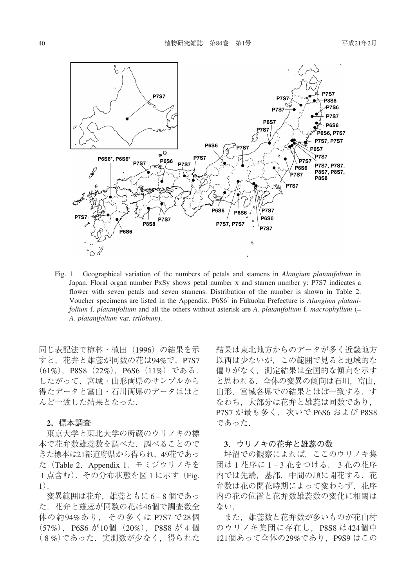

Fig. 1. Geographical variation of the numbers of petals and stamens in *Alangium platanifolium* in Japan. Floral organ number PxSy shows petal number x and stamen number y: P7S7 indicates a flower with seven petals and seven stamens. Distribution of the number is shown in Table 2. Voucher specimens are listed in the Appendix. P6S6\* in Fukuoka Prefecture is *Alangium platanifolium* f. *platanifolium* and all the others without asterisk are *A. platanifolium* f. *macrophyllum* ( *A. platanifolium* var. *trilobum*).

同じ表記法で梅林・植田 (1996) の結果を示 すと, 花弁と雄蕊が同数の花は94で, P7S7 (61%), P8S8 (22%), P6S6 (11%) である. したがって, 宮城・山形両県のサンプルから 得たデータと富山・石川両県のデータはほと んど一致した結果となった.

## **2**. 標本調査

東京大学と東北大学の所蔵のウリノキの標 本で花弁数雄蕊数を調べた. 調べることので きた標本は21都道府県から得られ, 49花であっ た (Table 2, Appendix 1. モミジウリノキを 1 点含む). その分布状態を図 1 に示す (Fig. 1).

変異範囲は花弁, 雄蕊ともに 6–8 個であっ た. 花弁と雄蕊が同数の花は46個で調査数全 体の約94%あり, その多くは P7S7 で28個  $(57\%)$ , P6S6 が10個  $(20\%)$ , P8S8 が4個 (8%)であった. 実測数が少なく、得られた 結果は東北地方からのデータが多く近畿地方 以西は少ないが, この範囲で見ると地域的な 偏りがなく, 測定結果は全国的な傾向を示す と思われる. 全体の変異の傾向は石川, 富山, 山形, 宮城各県での結果とほぼ一致する. す なわち, 大部分は花弁と雄蕊は同数であり, P7S7 が最も多く, 次いで P6S6 および P8S8 であった.

### **3**. ウリノキの花弁と雄蕊の数

坪沼での観察によれば, ここのウリノキ集 団は 1 花序に 1–3 花をつける. 3 花の花序 内では先端, 基部, 中間の順に開花する. 花 弁数は花の開花時期によって変わらず, 花序 内の花の位置と花弁数雄蕊数の変化に相関は ない.

また, 雄蕊数と花弁数が多いものが花山村 のウリノキ集団に存在し, P8S8 は424個中 121個あって全体の29であり, P9S9 はこの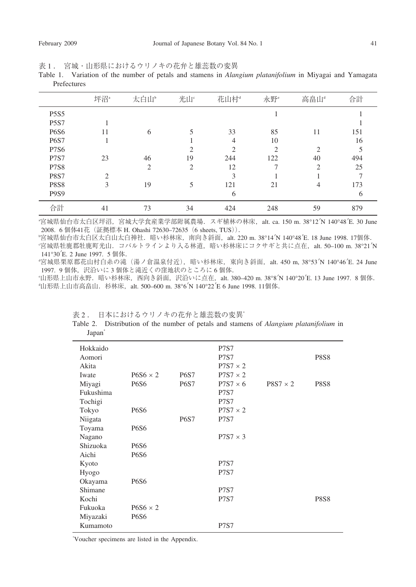表1. 宮城・山形県におけるウリノキの花弁と雄蕊数の変異

Table 1. Variation of the number of petals and stamens in *Alangium platanifolium* in Miyagai and Yamagata Prefectures

|                               | 坪沼 <sup>。</sup>               | 太白山。           | 光山。 | 花山村            | 永野 <sup>e</sup>         | 高畠山                           | 合計  |
|-------------------------------|-------------------------------|----------------|-----|----------------|-------------------------|-------------------------------|-----|
| <b>P5S5</b>                   |                               |                |     |                |                         |                               |     |
| <b>P5S7</b>                   |                               |                |     |                |                         |                               |     |
| <b>P6S6</b>                   | 11                            | 6              |     | 33             | 85                      | 11                            | 151 |
| <b>P6S7</b>                   |                               |                |     | $\overline{4}$ | 10                      |                               | 16  |
| <b>P7S6</b>                   |                               |                | ↑   | $\mathcal{D}$  | $\mathcal{D}_{1}^{(1)}$ | っ                             | 5   |
| <b>P7S7</b>                   | 23                            | 46             | 19  | 244            | 122                     | 40                            | 494 |
| <b>P7S8</b>                   |                               | $\overline{2}$ | 2   | 12             | 7                       | $\mathfrak{D}_{\mathfrak{p}}$ | 25  |
| <b>P8S7</b>                   | $\mathfrak{D}_{\mathfrak{p}}$ |                |     | 3              |                         |                               |     |
| <b>P8S8</b>                   | 3                             | 19             | 5   | 121            | 21                      | 4                             | 173 |
| P <sub>9</sub> S <sub>9</sub> |                               |                |     | 6              |                         |                               | 6   |
| 合計                            | 41                            | 73             | 34  | 424            | 248                     | 59                            | 879 |

a 宮城県仙台市太白区坪沼, 宮城大学食産業学部附属農場. スギ植林の林床, alt. ca. 150 m. 38°12 N 140°48 E. 30 June 2008. 6 個体41花 (証拠標本 H. Ohashi 72630–72635 (6 sheets, TUS)).

b 宮城県仙台市太白区太白山太白神社. 暗い杉林床, 南向き斜面, alt. 220 m. 38°14 N 140°48 E. 18 June 1998. 17個体.

c 宮城県牡鹿郡牡鹿町光山. コバルトラインより入る林道, 暗い杉林床にコクサギと共に点在, alt. 50–100 m. 38°21 N 141°30 E. 2 June 1997. 5 個体.

d 宮城県栗原郡花山村白糸の滝 (湯ノ倉温泉付近), 暗い杉林床, 東向き斜面, alt. 450 m, 38°53 N 140°46 E. 24 June 1997. 9 個体, 沢沿いに 3 個体と滝近くの窪地状のところに 6 個体.

e 山形県上山市永野. 暗い杉林床, 西向き斜面, 沢沿いに点在, alt. 380–420 m. 38°8 N 140°20 E. 13 June 1997. 8 個体. d 山形県上山市高畠山. 杉林床, alt. 500–600 m. 38°6 N 140°22 E 6 June 1998. 11個体.

表 2. 日本におけるウリノキの花弁と雄蕊数の変異\*

Table 2. Distribution of the number of petals and stamens of *Alangium platanifolium* in Japan<sup>\*</sup>

| Hokkaido<br>Aomori |                 |             | <b>P7S7</b><br><b>P7S7</b> |                 | <b>P8S8</b> |
|--------------------|-----------------|-------------|----------------------------|-----------------|-------------|
| Akita              |                 |             | $P7S7 \times 2$            |                 |             |
| Iwate              | $P6S6 \times 2$ | <b>P6S7</b> | $P7S7 \times 2$            |                 |             |
| Miyagi             | <b>P6S6</b>     | <b>P6S7</b> | $P7S7 \times 6$            | $P8S7 \times 2$ | P8S8        |
| Fukushima          |                 |             | <b>P7S7</b>                |                 |             |
| Tochigi            |                 |             | <b>P7S7</b>                |                 |             |
| Tokyo              | <b>P6S6</b>     |             | $P7S7 \times 2$            |                 |             |
| Niigata            |                 | <b>P6S7</b> | <b>P7S7</b>                |                 |             |
| Toyama             | <b>P6S6</b>     |             |                            |                 |             |
| Nagano             |                 |             | $P7S7 \times 3$            |                 |             |
| Shizuoka           | <b>P6S6</b>     |             |                            |                 |             |
| Aichi              | <b>P6S6</b>     |             |                            |                 |             |
| Kyoto              |                 |             | <b>P7S7</b>                |                 |             |
| Hyogo              |                 |             | <b>P7S7</b>                |                 |             |
| Okayama            | <b>P6S6</b>     |             |                            |                 |             |
| Shimane            |                 |             | <b>P7S7</b>                |                 |             |
| Kochi              |                 |             | <b>P7S7</b>                |                 | P8S8        |
| Fukuoka            | $P6S6 \times 2$ |             |                            |                 |             |
| Miyazaki           | <b>P6S6</b>     |             |                            |                 |             |
| Kumamoto           |                 |             | <b>P7S7</b>                |                 |             |

\* Voucher specimens are listed in the Appendix.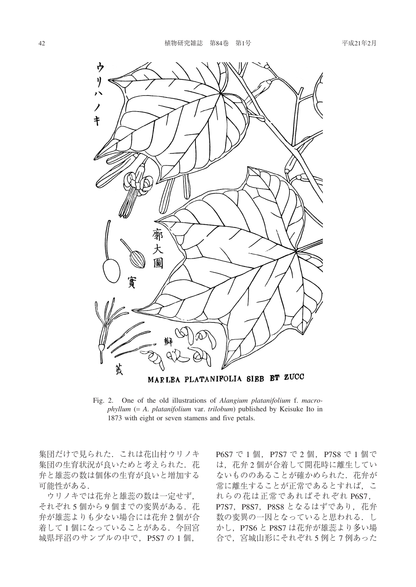

MARLEA PLATANIFOLIA SIEB ET ZUCC

Fig. 2. One of the old illustrations of *Alangium platanifolium* f. *macrophyllum* (*A. platanifolium* var. *trilobum*) published by Keisuke Ito in 1873 with eight or seven stamens and five petals.

集団だけで見られた. これは花山村ウリノキ 集団の生育状況が良いためと考えられた. 花 弁と雄蕊の数は個体の生育が良いと増加する 可能性がある.

ウリノキでは花弁と雄蕊の数は一定せず, それぞれ 5 個から 9 個までの変異がある. 花 弁が雄蕊よりも少ない場合には花弁 2 個が合 着して 1 個になっていることがある. 今回宮 城県坪沼のサンプルの中で, P5S7 の 1 個,

P6S7 で 1 個, P7S7 で 2 個, P7S8 で 1 個で は, 花弁 2 個が合着して開花時に離生してい ないもののあることが確かめられた. 花弁が 常に離生することが正常であるとすれば, こ れらの花は正常であればそれぞれ P6S7, P7S7, P8S7, P8S8 となるはずであり, 花弁 数の変異の一因となっていると思われる. し かし, P7S6 と P8S7 は花弁が雄蕊より多い場 合で, 宮城山形にそれぞれ 5 例と 7 例あった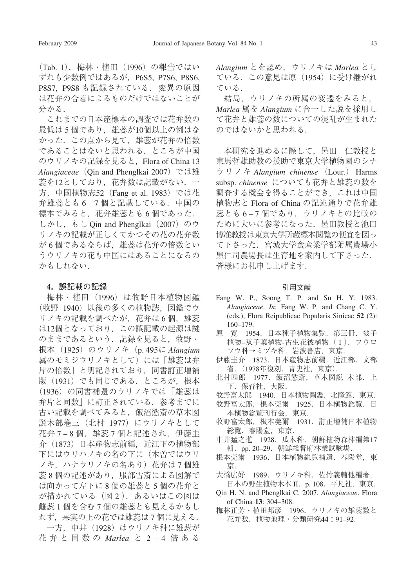(Tab. 1). 梅林・植田 (1996) の報告ではい ずれも少数例ではあるが, P6S5, P7S6, P8S6, P8S7, P9S8 も記録されている. 変異の原因 は花弁の合着によるものだけではないことが 分かる.

これまでの日本産標本の調査では花弁数の 最低は 5 個であり, 雄蕊が10個以上の例はな かった. この点から見て, 雄蕊が花弁の倍数 であることはないと思われる. ところが中国 のウリノキの記録を見ると, Flora of China 13 *Alangiaceae* (Qin and Phenglkai 2007) では雄 蕊を12としており, 花弁数は記載がない. 一 方, 中国植物志52 (Fang et al. 1983) では花 弁雄蕊とも 6–7 個と記載している. 中国の 標本でみると, 花弁雄蕊とも 6 個であった. しかし, もし Qin and Phenglkai (2007) のウ リノキの記載が正しくてかつその花の花弁数 が 6 個であるならば, 雄蕊は花弁の倍数とい うウリノキの花も中国にはあることになるの かもしれない.

# **4**. 誤記載の記録

梅林・植田 (1996) は牧野日本植物図鑑 (牧野 1940) 以後の多くの植物誌, 図鑑でウ リノキの記載を調べたが, 花弁は 6 個, 雄蕊 は12個となっており, この誤記載の起源は謎 のままであるという. 記録を見ると, 牧野・ 根本 (1925) のウリノキ (p. 495に *Alangium* 属のモミジウリノキとして) には 「雄蕊は弁 片の倍数」 と明記されており, 同書訂正増補 版 (1931) でも同じである. ところが, 根本 (1936) の同書補遺のウリノキでは 「雄蕊は 弁片と同数」 に訂正されている. 参考までに 古い記載を調べてみると, 飯沼慾斎の草木図 説木部巻三 (北村 1977) にウリノキとして 花弁 7–8 個, 雄蕊 7 個と記述され, 伊藤圭 介 (1873) 日本産物志前編, 近江下の植物部 下にはウリハノキの名の下に (木曽ではウリ ノキ, ハナウリノキの名あり) 花弁は 7 個雄 蕊 8 個の記述があり, 服部雪斎による図解で は向かって左下に 8 個の雄蕊と 5 個の花弁と が描かれている (図 2 ). あるいはこの図は 雌蕊 1 個を含む 7 個の雄蕊とも見えるかもし れず, 果実の上の花では雄蕊は 7 個に見える. 一方, 中井 (1928) はウリノキ科に雄蕊が

花弁と同数の *Marlea* と 2 –4 倍ある

*Alangium* とを認め, ウリノキは *Marlea* とし ている. この意見は原 (1954) に受け継がれ ている.

結局, ウリノキの所属の変遷をみると, *Marlea* 属を *Alangium* に合一した説を採用し て花弁と雄蕊の数についての混乱が生まれた のではないかと思われる.

本研究を進めるに際して, 邑田 仁教授と 東馬哲雄助教の援助で東京大学植物園のシナ ウリノキ *Alangium chinense* (Lour.) Harms subsp. *chinense* についても花弁と雄蕊の数を 調査する機会を得ることができ, これは中国 植物志と Flora of China の記述通りで花弁雄 蕊とも 6–7 個であり, ウリノキとの比較の ために大いに参考になった. 邑田教授と池田 博准教授は東京大学所蔵標本閲覧の便宜を図っ て下さった. 宮城大学食産業学部附属農場小 黒仁司農場長は生育地を案内して下さった. 皆様にお礼申し上げます.

### 引用文献

- Fang W. P., Soong T. P. and Su H. Y. 1983. *Alangiaceae*. *In*: Fang W. P. and Chang C. Y. (eds.), Flora Reipublicae Popularis Sinicae **52** (2): 160–179.
- 原 寛 1954. 日本種子植物集覧. 第三冊. 被子 植物–双子葉植物-古生花被植物 ( 1 ). フウロ ソウ科→ミヅキ科. 岩波書店, 東京.
- 伊藤圭介 1873. 日本産物志前編. 近江部. 文部 省. (1978年復刻. 青史社, 東京).
- 北村四郎 1977. 飯沼慾斎, 草木図説 木部. 上 下. 保育社, 大阪.
- 牧野富太郎 1940. 日本植物圖鑑. 北隆館, 東京.
- 牧野富太郎, 根本莞爾 1925. 日本植物総覧. 日 本植物総覧刊行会, 東京.
- 牧野富太郎, 根本莞爾 1931. 訂正増補日本植物 総覧. 春陽堂, 東京.
- 中井猛之進 1928. 瓜木科. 朝鮮植物森林編第17 輯. pp. 20–29. 朝鮮総督府林業試験場.
- 根本莞爾 1936. 日本植物総覧補遺. 春陽堂, 東 京.
- 大橋広好 1989. ウリノキ科. 佐竹義輔他編著,

日本の野生植物木本 II. p. 108. 平凡社, 東京. Qin H. N. and Phenglkai C. 2007. *Alangiaceae*. Flora

- of China **13**: 304–308.
- 梅林正芳・植田邦彦 1996. ウリノキの雄蕊数と 花弁数. 植物地理・分類研究**44**:91–92.